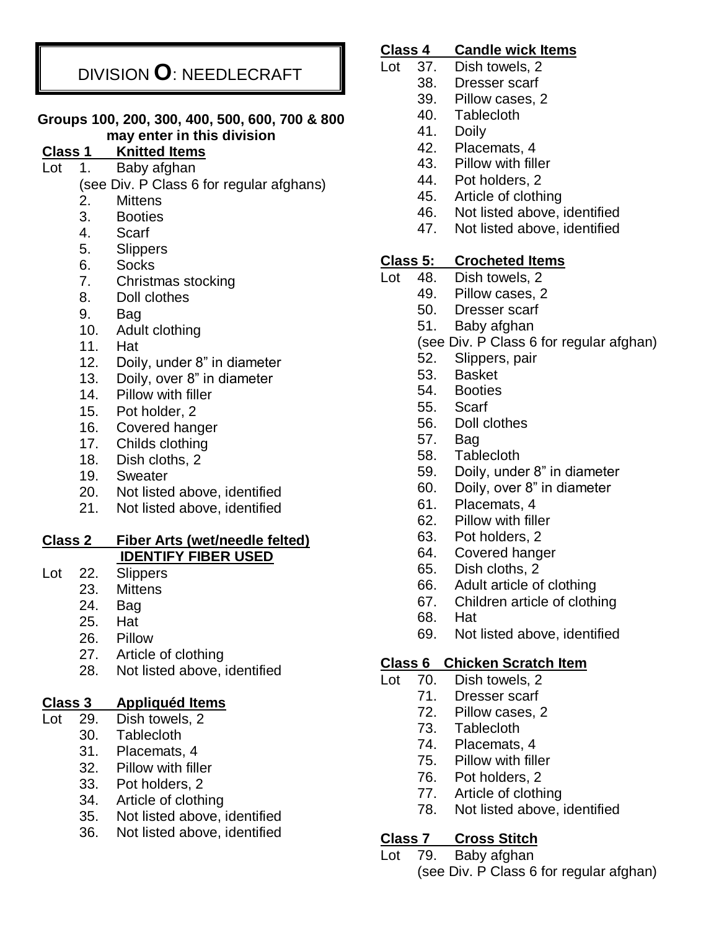# DIVISION **O**: NEEDLECRAFT

#### **Groups 100, 200, 300, 400, 500, 600, 700 & 800 may enter in this division**

## **Class 1 Knitted Items**

Lot 1. Baby afghan

(see Div. P Class 6 for regular afghans)

- 2. Mittens
- 3. Booties
- 4. Scarf
- 5. Slippers
- 6. Socks
- 7. Christmas stocking
- 8. Doll clothes
- 9. Bag
- 10. Adult clothing
- 11. Hat
- 12. Doily, under 8" in diameter
- 13. Doily, over 8" in diameter
- 14. Pillow with filler
- 15. Pot holder, 2
- 16. Covered hanger
- 17. Childs clothing
- 18. Dish cloths, 2
- 19. Sweater
- 20. Not listed above, identified
- 21. Not listed above, identified

#### **Class 2 Fiber Arts (wet/needle felted) IDENTIFY FIBER USED**

- Lot 22. Slippers
	- 23. Mittens
	- 24. Bag
	- 25. Hat
	- 26. Pillow
	- 27. Article of clothing
	- 28. Not listed above, identified

## **Class 3 Appliquéd Items**

- Lot 29. Dish towels, 2
	- 30. Tablecloth
	- 31. Placemats, 4
	- 32. Pillow with filler
	- 33. Pot holders, 2
	- 34. Article of clothing
	- 35. Not listed above, identified
	- 36. Not listed above, identified

### **Class 4 Candle wick Items**

- Lot 37. Dish towels, 2
	- 38. Dresser scarf
	- 39. Pillow cases, 2
	- 40. Tablecloth
	- 41. Doily
	- 42. Placemats, 4
	- 43. Pillow with filler
	- 44. Pot holders, 2
	- 45. Article of clothing
	- 46. Not listed above, identified
	- 47. Not listed above, identified

### **Class 5: Crocheted Items**

- Lot 48. Dish towels, 2
	- 49. Pillow cases, 2
	- 50. Dresser scarf
	- 51. Baby afghan
	- (see Div. P Class 6 for regular afghan)
	- 52. Slippers, pair
	- 53. Basket
	- 54. Booties
	- 55. Scarf
	- 56. Doll clothes
	- 57. Bag
	- 58. Tablecloth
	- 59. Doily, under 8" in diameter
	- 60. Doily, over 8" in diameter
	- 61. Placemats, 4
	- 62. Pillow with filler
	- 63. Pot holders, 2
	- 64. Covered hanger
	- 65. Dish cloths, 2
	- 66. Adult article of clothing
	- 67. Children article of clothing
	- 68. Hat
	- 69. Not listed above, identified

## **Class 6 Chicken Scratch Item**

- Lot 70. Dish towels, 2
	- 71. Dresser scarf
		- 72. Pillow cases, 2
		- 73. Tablecloth
		- 74. Placemats, 4
		- 75. Pillow with filler
		- 76. Pot holders, 2
		- 77. Article of clothing
		- 78. Not listed above, identified

## **Class 7 Cross Stitch**

Lot 79. Baby afghan (see Div. P Class 6 for regular afghan)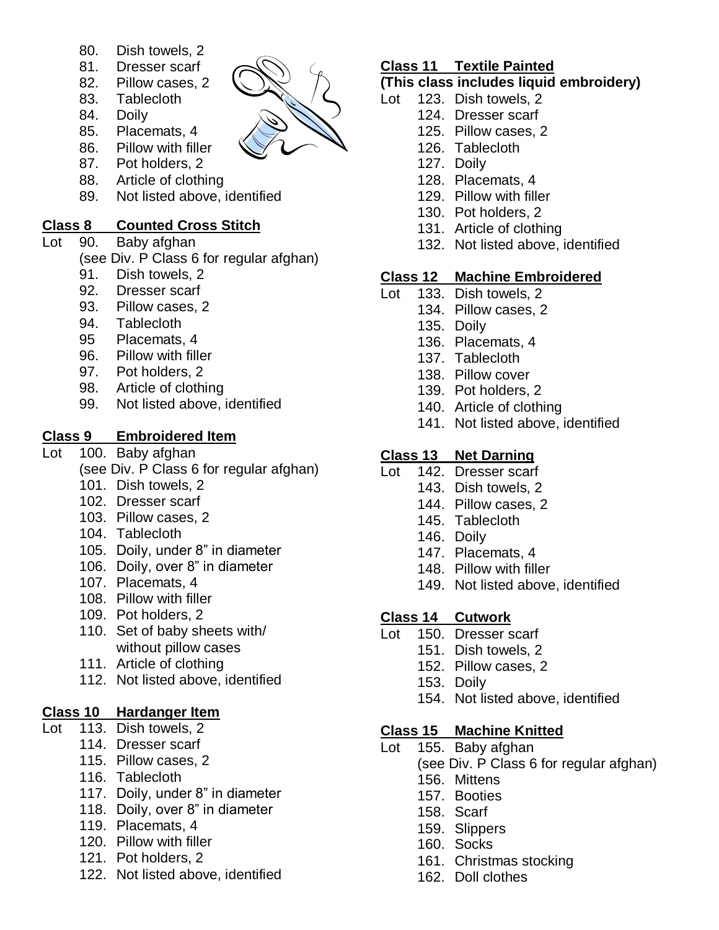- 80. Dish towels, 2
- 81. Dresser scarf
- 82. Pillow cases, 2
- 83. Tablecloth
- 84. Doily
- 85. Placemats, 4
- 86. Pillow with filler
- 87. Pot holders, 2
- 88. Article of clothing
- 89. Not listed above, identified

#### **Class 8 Counted Cross Stitch**

Lot 90. Baby afghan

(see Div. P Class 6 for regular afghan)

- 91. Dish towels, 2
- 92. Dresser scarf
- 93. Pillow cases, 2
- 94. Tablecloth
- 95 Placemats, 4
- 96. Pillow with filler
- 97. Pot holders, 2
- 98. Article of clothing
- 99. Not listed above, identified

#### **Class 9 Embroidered Item**

- Lot 100. Baby afghan
	- (see Div. P Class 6 for regular afghan)
	- 101. Dish towels, 2
	- 102. Dresser scarf
	- 103. Pillow cases, 2
	- 104. Tablecloth
	- 105. Doily, under 8" in diameter
	- 106. Doily, over 8" in diameter
	- 107. Placemats, 4
	- 108. Pillow with filler
	- 109. Pot holders, 2
	- 110. Set of baby sheets with/ without pillow cases
	- 111. Article of clothing
	- 112. Not listed above, identified

#### **Class 10 Hardanger Item**

- Lot 113. Dish towels, 2
	- 114. Dresser scarf
	- 115. Pillow cases, 2
	- 116. Tablecloth
	- 117. Doily, under 8" in diameter
	- 118. Doily, over 8" in diameter
	- 119. Placemats, 4
	- 120. Pillow with filler
	- 121. Pot holders, 2
	- 122. Not listed above, identified

## **Class 11 Textile Painted**

## **(This class includes liquid embroidery)**

- Lot 123. Dish towels, 2
	- 124. Dresser scarf
	- 125. Pillow cases, 2
	- 126. Tablecloth
	- 127. Doily
	- 128. Placemats, 4
	- 129. Pillow with filler
	- 130. Pot holders, 2
	- 131. Article of clothing
	- 132. Not listed above, identified

## **Class 12 Machine Embroidered**

- Lot 133. Dish towels, 2
	- 134. Pillow cases, 2
	- 135. Doily
	- 136. Placemats, 4
	- 137. Tablecloth
	- 138. Pillow cover
	- 139. Pot holders, 2
	- 140. Article of clothing
	- 141. Not listed above, identified

#### **Class 13 Net Darning**

- Lot 142. Dresser scarf
	- 143. Dish towels, 2
	- 144. Pillow cases, 2
	- 145. Tablecloth
	- 146. Doily
	- 147. Placemats, 4
	- 148. Pillow with filler
	- 149. Not listed above, identified

#### **Class 14 Cutwork**

- Lot 150. Dresser scarf
	- 151. Dish towels, 2
	- 152. Pillow cases, 2
	- 153. Doily
	- 154. Not listed above, identified

#### **Class 15 Machine Knitted**

- Lot 155. Baby afghan
	- (see Div. P Class 6 for regular afghan)
	- 156. Mittens
	- 157. Booties
	- 158. Scarf
	- 159. Slippers
	- 160. Socks
	- 161. Christmas stocking
	- 162. Doll clothes

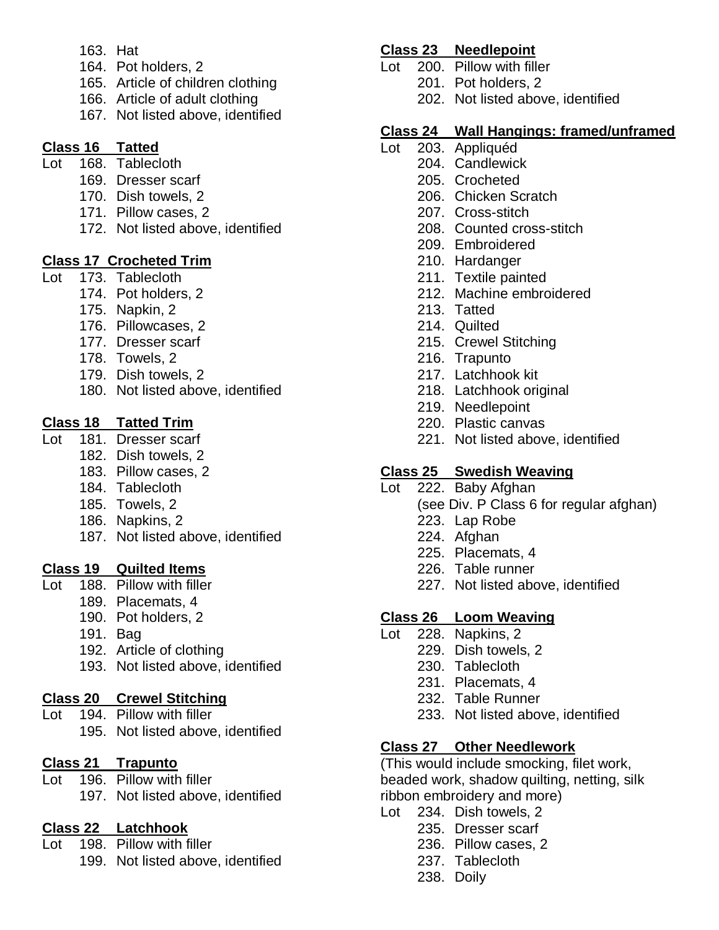- 163. Hat
- 164. Pot holders, 2
- 165. Article of children clothing
- 166. Article of adult clothing
- 167. Not listed above, identified

#### **Class 16 Tatted**

- Lot 168. Tablecloth
	- 169. Dresser scarf
	- 170. Dish towels, 2
	- 171. Pillow cases, 2
	- 172. Not listed above, identified

#### **Class 17 Crocheted Trim**

- Lot 173. Tablecloth
	- 174. Pot holders, 2
	- 175. Napkin, 2
	- 176. Pillowcases, 2
	- 177. Dresser scarf
	- 178. Towels, 2
	- 179. Dish towels, 2
	- 180. Not listed above, identified

#### **Class 18 Tatted Trim**

- Lot 181. Dresser scarf
	- 182. Dish towels, 2
	- 183. Pillow cases, 2
	- 184. Tablecloth
	- 185. Towels, 2
	- 186. Napkins, 2
	- 187. Not listed above, identified

#### **Class 19 Quilted Items**

- Lot 188. Pillow with filler
	- 189. Placemats, 4
	- 190. Pot holders, 2
	- 191. Bag
	- 192. Article of clothing
	- 193. Not listed above, identified

## **Class 20 Crewel Stitching**

Lot 194. Pillow with filler 195. Not listed above, identified

## **Class 21 Trapunto**

Lot 196. Pillow with filler

197. Not listed above, identified

## **Class 22 Latchhook**

- Lot 198. Pillow with filler
	- 199. Not listed above, identified

#### **Class 23 Needlepoint**

- Lot 200. Pillow with filler
	- 201. Pot holders, 2
	- 202. Not listed above, identified

### **Class 24 Wall Hangings: framed/unframed**

- Lot 203. Appliquéd
	- 204. Candlewick
	- 205. Crocheted
	- 206. Chicken Scratch
	- 207. Cross-stitch
	- 208. Counted cross-stitch
	- 209. Embroidered
	- 210. Hardanger
	- 211. Textile painted
	- 212. Machine embroidered
	- 213. Tatted
	- 214. Quilted
	- 215. Crewel Stitching
	- 216. Trapunto
	- 217. Latchhook kit
	- 218. Latchhook original
	- 219. Needlepoint
	- 220. Plastic canvas
	- 221. Not listed above, identified

### **Class 25 Swedish Weaving**

- Lot 222. Baby Afghan
	- (see Div. P Class 6 for regular afghan)
	- 223. Lap Robe
	- 224. Afghan
	- 225. Placemats, 4
	- 226. Table runner
	- 227. Not listed above, identified

## **Class 26 Loom Weaving**

- Lot 228. Napkins, 2
	- 229. Dish towels, 2
	- 230. Tablecloth
	- 231. Placemats, 4
	- 232. Table Runner
	- 233. Not listed above, identified

#### **Class 27 Other Needlework**

(This would include smocking, filet work, beaded work, shadow quilting, netting, silk ribbon embroidery and more)

- Lot 234. Dish towels, 2
	- 235. Dresser scarf
		- 236. Pillow cases, 2
		- 237. Tablecloth
		- 238. Doily